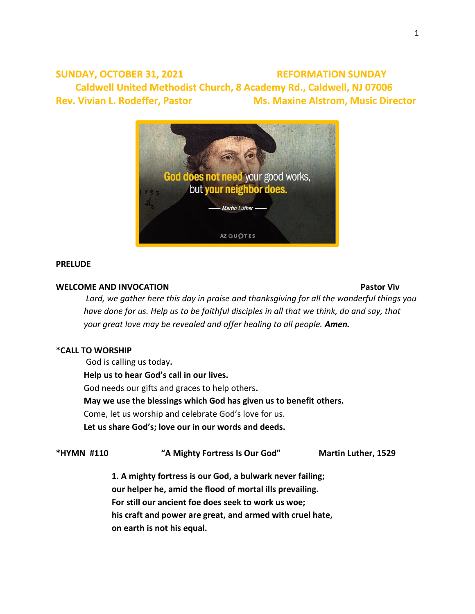**SUNDAY, OCTOBER 31, 2021 REFORMATION SUNDAY** Caldwell United Methodist Church, 8 Academy Rd., Caldwell, NJ 07006 **Rev. Vivian L. Rodeffer, Pastor Ms. Maxine Alstrom, Music Director** 



# **PRELUDE**

# **WELCOME AND INVOCATION Pastor Viv**

*Lord, we gather here this day in praise and thanksgiving for all the wonderful things you have done for us. Help us to be faithful disciples in all that we think, do and say, that your great love may be revealed and offer healing to all people. Amen.*

# **\*CALL TO WORSHIP**

God is calling us today**.**

**Help us to hear God's call in our lives.**

God needs our gifts and graces to help others**.**

**May we use the blessings which God has given us to benefit others.**

Come, let us worship and celebrate God's love for us.

**Let us share God's; love our in our words and deeds.**

# **\*HYMN #110 "A Mighty Fortress Is Our God" Martin Luther, 1529**

**1. A mighty fortress is our God, a bulwark never failing; our helper he, amid the flood of mortal ills prevailing. For still our ancient foe does seek to work us woe; his craft and power are great, and armed with cruel hate, on earth is not his equal.**

1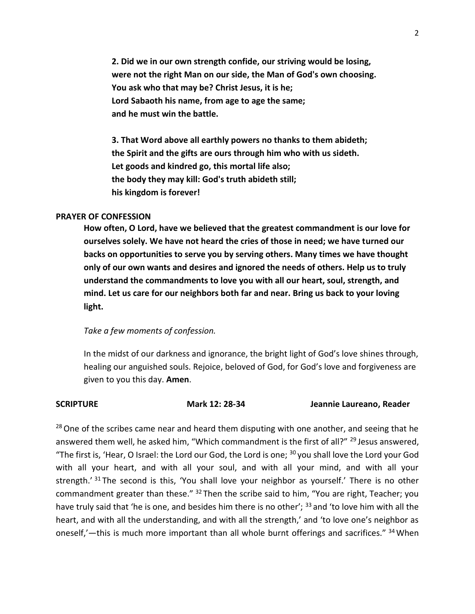**2. Did we in our own strength confide, our striving would be losing, were not the right Man on our side, the Man of God's own choosing. You ask who that may be? Christ Jesus, it is he; Lord Sabaoth his name, from age to age the same; and he must win the battle.**

**3. That Word above all earthly powers no thanks to them abideth; the Spirit and the gifts are ours through him who with us sideth. Let goods and kindred go, this mortal life also; the body they may kill: God's truth abideth still; his kingdom is forever!**

# **PRAYER OF CONFESSION**

**How often, O Lord, have we believed that the greatest commandment is our love for ourselves solely. We have not heard the cries of those in need; we have turned our backs on opportunities to serve you by serving others. Many times we have thought only of our own wants and desires and ignored the needs of others. Help us to truly understand the commandments to love you with all our heart, soul, strength, and mind. Let us care for our neighbors both far and near. Bring us back to your loving light.** 

### *Take a few moments of confession.*

In the midst of our darkness and ignorance, the bright light of God's love shines through, healing our anguished souls. Rejoice, beloved of God, for God's love and forgiveness are given to you this day. **Amen**.

**SCRIPTURE Mark 12: 28-34 Jeannie Laureano, Reader**

 $28$  One of the scribes came near and heard them disputing with one another, and seeing that he answered them well, he asked him, "Which commandment is the first of all?" <sup>29</sup> Jesus answered, "The first is, 'Hear, O Israel: the Lord our God, the Lord is one;  $30$  you shall love the Lord your God with all your heart, and with all your soul, and with all your mind, and with all your strength.' <sup>31</sup> The second is this, 'You shall love your neighbor as yourself.' There is no other commandment greater than these." <sup>32</sup> Then the scribe said to him, "You are right, Teacher; you have truly said that 'he is one, and besides him there is no other'; <sup>33</sup> and 'to love him with all the heart, and with all the understanding, and with all the strength,' and 'to love one's neighbor as oneself,'—this is much more important than all whole burnt offerings and sacrifices." <sup>34</sup> When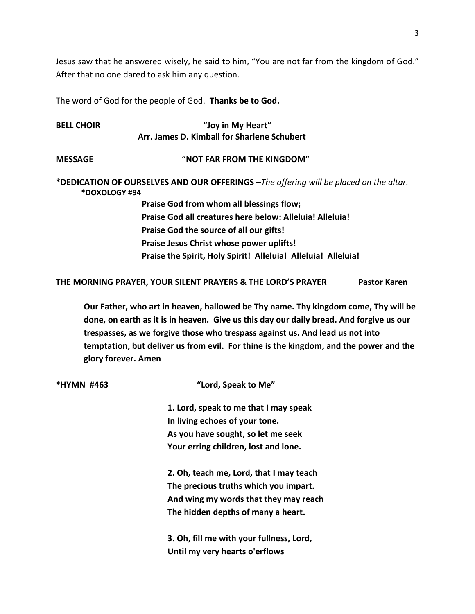Jesus saw that he answered wisely, he said to him, "You are not far from the kingdom of God." After that no one dared to ask him any question.

The word of God for the people of God. **Thanks be to God.** 

| <b>BELL CHOIR</b> | "Joy in My Heart"                                                                      |
|-------------------|----------------------------------------------------------------------------------------|
|                   | Arr. James D. Kimball for Sharlene Schubert                                            |
| <b>MESSAGE</b>    | "NOT FAR FROM THE KINGDOM"                                                             |
| *DOXOLOGY #94     | *DEDICATION OF OURSELVES AND OUR OFFERINGS - The offering will be placed on the altar. |
|                   | Praise God from whom all blessings flow;                                               |
|                   | Praise God all creatures here below: Alleluia! Alleluia!                               |
|                   | Praise God the source of all our gifts!                                                |
|                   | Praise Jesus Christ whose power uplifts!                                               |
|                   | Praise the Spirit, Holy Spirit! Alleluia! Alleluia! Alleluia!                          |

**THE MORNING PRAYER, YOUR SILENT PRAYERS & THE LORD'S PRAYER Pastor Karen**

**Our Father, who art in heaven, hallowed be Thy name. Thy kingdom come, Thy will be done, on earth as it is in heaven. Give us this day our daily bread. And forgive us our trespasses, as we forgive those who trespass against us. And lead us not into temptation, but deliver us from evil. For thine is the kingdom, and the power and the glory forever. Amen**

| *HYMN #463 | "Lord, Speak to Me"                      |
|------------|------------------------------------------|
|            | 1. Lord, speak to me that I may speak    |
|            | In living echoes of your tone.           |
|            | As you have sought, so let me seek       |
|            | Your erring children, lost and lone.     |
|            | 2. Oh, teach me, Lord, that I may teach  |
|            | The precious truths which you impart.    |
|            | And wing my words that they may reach    |
|            | The hidden depths of many a heart.       |
|            | 3. Oh, fill me with your fullness, Lord, |
|            | Until my very hearts o'erflows           |